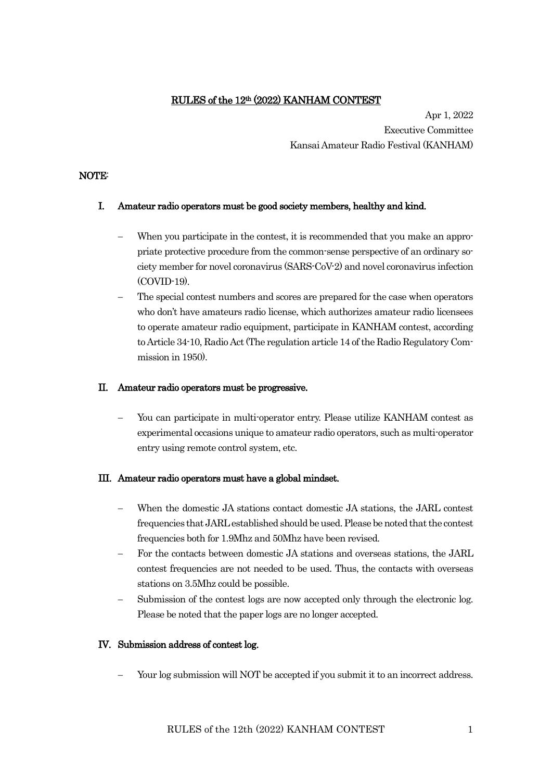## RULES of the 12th (2022) KANHAM CONTEST

Apr 1, 2022 Executive Committee Kansai Amateur Radio Festival (KANHAM)

### NOTE:

### I. Amateur radio operators must be good society members, healthy and kind.

- When you participate in the contest, it is recommended that you make an appropriate protective procedure from the common-sense perspective of an ordinary society member for novel coronavirus (SARS-CoV-2) and novel coronavirus infection (COVID-19).
- The special contest numbers and scores are prepared for the case when operators who don't have amateurs radio license, which authorizes amateur radio licensees to operate amateur radio equipment, participate in KANHAM contest, according to Article 34-10, Radio Act (The regulation article 14 of the Radio Regulatory Commission in 1950).

### II. Amateur radio operators must be progressive.

You can participate in multi-operator entry. Please utilize KANHAM contest as experimental occasions unique to amateur radio operators, such as multi-operator entry using remote control system, etc.

#### III. Amateur radio operators must have a global mindset.

- − When the domestic JA stations contact domestic JA stations, the JARL contest frequencies that JARL established should be used. Please be noted that the contest frequencies both for 1.9Mhz and 50Mhz have been revised.
- For the contacts between domestic JA stations and overseas stations, the JARL contest frequencies are not needed to be used. Thus, the contacts with overseas stations on 3.5Mhz could be possible.
- Submission of the contest logs are now accepted only through the electronic log. Please be noted that the paper logs are no longer accepted.

#### IV. Submission address of contest log.

Your log submission will NOT be accepted if you submit it to an incorrect address.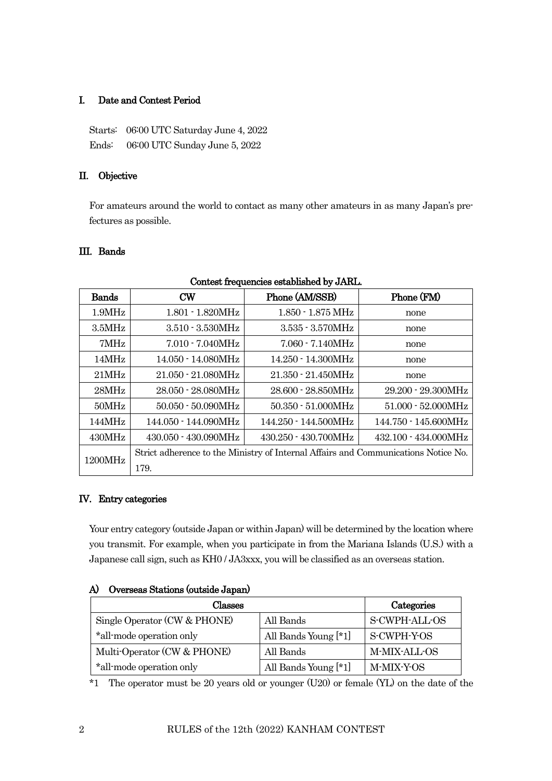## I. Date and Contest Period

Starts: 06:00 UTC Saturday June 4, 2022 Ends: 06:00 UTC Sunday June 5, 2022

## II. Objective

For amateurs around the world to contact as many other amateurs in as many Japan's prefectures as possible.

## III. Bands

| <b>Bands</b> | $cm$                                                                               | Phone (AM/SSB)                 | Phone (FM)                     |
|--------------|------------------------------------------------------------------------------------|--------------------------------|--------------------------------|
| 1.9MHz       | $1.801 - 1.820MHz$                                                                 | $1.850 - 1.875 \,\mathrm{MHz}$ | none                           |
| 3.5MHz       | $3.510 - 3.530 MHz$                                                                | $3.535 - 3.570MHz$             | none                           |
| 7MHz         | $7.010 - 7.040 MHz$                                                                | $7.060 - 7.140 MHz$            | none                           |
| 14MHz        | 14.050 - 14.080MHz                                                                 | 14.250 - 14.300MHz             | none                           |
| 21MHz        | 21.050 - 21.080MHz                                                                 | $21.350 - 21.450 MHz$          | none                           |
| 28MHz        | 28.050 - 28.080MHz                                                                 | $28.600 - 28.850MHz$           | $29.200 - 29.300 MHz$          |
| 50MHz        | $50.050 - 50.090 MHz$                                                              | $50.350 - 51.000MHz$           | $51.000 - 52.000MHz$           |
| 144MHz       | 144.050 - 144.090MHz                                                               | 144.250 - 144.500MHz           | 144.750 - 145.600MHz           |
| 430MHz       | $430.050 - 430.090MHz$                                                             | $430.250 - 430.700 \text{MHz}$ | $432.100 - 434.000 \text{MHz}$ |
| 1200MHz      | Strict adherence to the Ministry of Internal Affairs and Communications Notice No. |                                |                                |
|              | 179.                                                                               |                                |                                |

#### Contest frequencies established by JARL.

#### IV. Entry categories

Your entry category (outside Japan or within Japan) will be determined by the location where you transmit. For example, when you participate in from the Mariana Islands (U.S.) with a Japanese call sign, such as KH0 / JA3xxx, you will be classified as an overseas station.

|  | A) Overseas Stations (outside Japan) |  |
|--|--------------------------------------|--|
|--|--------------------------------------|--|

| Classes                      |                      | Categories    |
|------------------------------|----------------------|---------------|
| Single Operator (CW & PHONE) | All Bands            | S-CWPH-ALL-OS |
| *all-mode operation only     | All Bands Young [*1] | S-CWPH-Y-OS   |
| Multi-Operator (CW & PHONE)  | All Bands            | M-MIX-ALL-OS  |
| *all-mode operation only     | All Bands Young [*1] | M-MIX-Y-OS    |

\*1 The operator must be 20 years old or younger (U20) or female (YL) on the date of the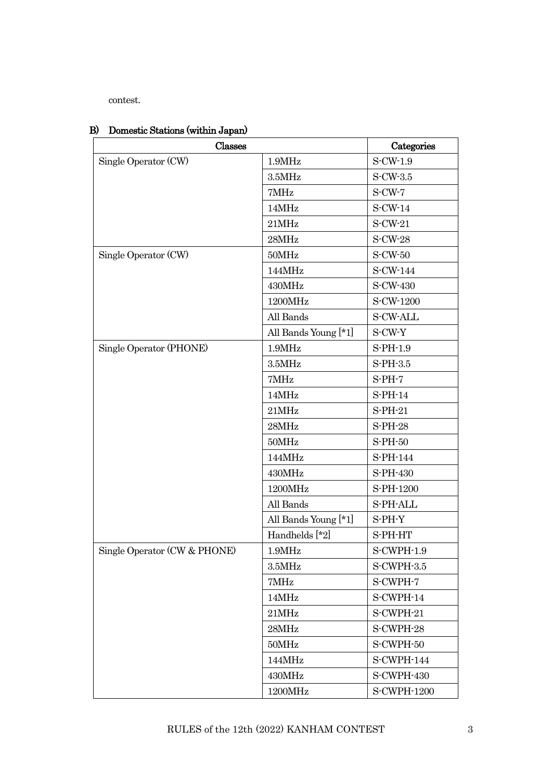contest.

| Classes                      |                      | Categories         |
|------------------------------|----------------------|--------------------|
| Single Operator (CW)         | 1.9MHz               | $S$ -CW-1.9        |
|                              | 3.5MHz               | $S-CW-3.5$         |
|                              | 7MHz                 | $S-CW-7$           |
|                              | 14MHz                | $S-CW-14$          |
|                              | 21MHz                | S-CW-21            |
|                              | 28MHz                | <b>S-CW-28</b>     |
| Single Operator (CW)         | 50MHz                | <b>S-CW-50</b>     |
|                              | 144MHz               | S-CW-144           |
|                              | 430MHz               | S-CW-430           |
|                              | 1200MHz              | S-CW-1200          |
|                              | All Bands            | <b>S-CW-ALL</b>    |
|                              | All Bands Young [*1] | S-CW-Y             |
| Single Operator (PHONE)      | 1.9MHz               | $S-PH-1.9$         |
|                              | 3.5MHz               | $S-PH-3.5$         |
|                              | 7MHz                 | $S-PH-7$           |
|                              | 14MHz                | $S$ -PH-14         |
|                              | 21MHz                | $S-PH-21$          |
|                              | $28\mathrm{MHz}$     | <b>S-PH-28</b>     |
|                              | 50MHz                | S-PH-50            |
|                              | 144MHz               | S-PH-144           |
|                              | 430MHz               | S-PH-430           |
|                              | 1200MHz              | S-PH-1200          |
|                              | All Bands            | S-PH-ALL           |
|                              | All Bands Young [*1] | S-PH-Y             |
|                              | Handhelds [*2]       | S-PH-HT            |
| Single Operator (CW & PHONE) | 1.9MHz               | S-CWPH-1.9         |
|                              | 3.5MHz               | S-CWPH-3.5         |
|                              | 7MHz                 | S-CWPH-7           |
|                              | 14MHz                | S-CWPH-14          |
|                              | 21MHz                | S-CWPH-21          |
|                              | 28MHz                | S-CWPH-28          |
|                              | 50MHz                | S-CWPH-50          |
|                              | 144MHz               | S-CWPH-144         |
|                              | 430MHz               | S-CWPH-430         |
|                              | $1200\mathrm{MHz}$   | <b>S-CWPH-1200</b> |

## B) Domestic Stations (within Japan)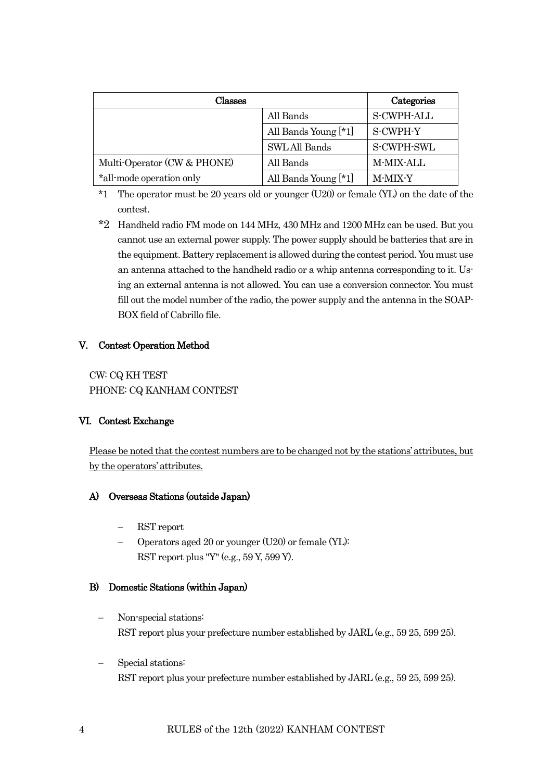| Classes                     |                      | Categories        |
|-----------------------------|----------------------|-------------------|
|                             | All Bands            | <b>S-CWPH-ALL</b> |
|                             | All Bands Young [*1] | S-CWPH-Y          |
|                             | <b>SWLAll Bands</b>  | S-CWPH-SWL        |
| Multi-Operator (CW & PHONE) | All Bands            | M-MIX-ALL         |
| *all-mode operation only    | All Bands Young [*1] | <b>M-MIX-Y</b>    |

- \*1 The operator must be 20 years old or younger (U20) or female (YL) on the date of the contest.
- \*2 Handheld radio FM mode on 144 MHz, 430 MHz and 1200 MHz can be used. But you cannot use an external power supply. The power supply should be batteries that are in the equipment. Battery replacement is allowed during the contest period. You must use an antenna attached to the handheld radio or a whip antenna corresponding to it. Using an external antenna is not allowed. You can use a conversion connector. You must fill out the model number of the radio, the power supply and the antenna in the SOAP-BOX field of Cabrillo file.

## V. Contest Operation Method

CW: CQ KH TEST PHONE: CQ KANHAM CONTEST

## VI. Contest Exchange

Please be noted that the contest numbers are to be changed not by the stations' attributes, but by the operators' attributes.

## A) Overseas Stations (outside Japan)

- − RST report
- − Operators aged 20 or younger (U20) or female (YL): RST report plus "Y" (e.g., 59 Y, 599 Y).

## B) Domestic Stations (within Japan)

- − Non-special stations: RST report plus your prefecture number established by JARL (e.g., 59 25, 599 25).
- − Special stations: RST report plus your prefecture number established by JARL (e.g., 59 25, 599 25).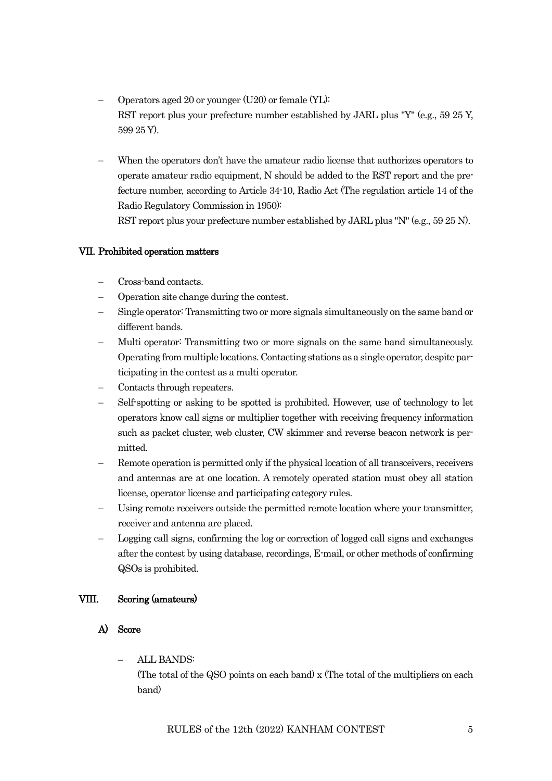- − Operators aged 20 or younger (U20) or female (YL): RST report plus your prefecture number established by JARL plus "Y" (e.g., 59 25 Y, 599 25 Y).
- When the operators don't have the amateur radio license that authorizes operators to operate amateur radio equipment, N should be added to the RST report and the prefecture number, according to Article 34-10, Radio Act (The regulation article 14 of the Radio Regulatory Commission in 1950):

RST report plus your prefecture number established by JARL plus "N" (e.g., 59 25 N).

## VII. Prohibited operation matters

- − Cross-band contacts.
- − Operation site change during the contest.
- Single operator: Transmitting two or more signals simultaneously on the same band or different bands.
- − Multi operator: Transmitting two or more signals on the same band simultaneously. Operating from multiple locations. Contacting stations as a single operator, despite participating in the contest as a multi operator.
- Contacts through repeaters.
- − Self-spotting or asking to be spotted is prohibited. However, use of technology to let operators know call signs or multiplier together with receiving frequency information such as packet cluster, web cluster, CW skimmer and reverse beacon network is permitted.
- − Remote operation is permitted only if the physical location of all transceivers, receivers and antennas are at one location. A remotely operated station must obey all station license, operator license and participating category rules.
- Using remote receivers outside the permitted remote location where your transmitter, receiver and antenna are placed.
- − Logging call signs, confirming the log or correction of logged call signs and exchanges after the contest by using database, recordings, E-mail, or other methods of confirming QSOs is prohibited.

## VIII. Scoring (amateurs)

#### A) Score

− ALL BANDS:

(The total of the QSO points on each band) x (The total of the multipliers on each band)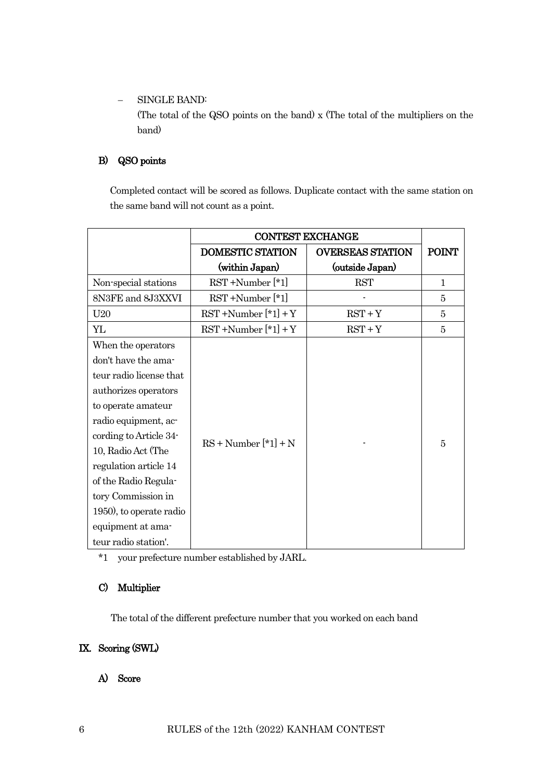− SINGLE BAND:

(The total of the QSO points on the band) x (The total of the multipliers on the band)

## B) QSO points

Completed contact will be scored as follows. Duplicate contact with the same station on the same band will not count as a point.

|                         | <b>CONTEST EXCHANGE</b>             |                         |              |
|-------------------------|-------------------------------------|-------------------------|--------------|
|                         | <b>DOMESTIC STATION</b>             | <b>OVERSEAS STATION</b> | <b>POINT</b> |
|                         | (within Japan)                      | (outside Japan)         |              |
| Non-special stations    | $\operatorname{RST}$ +Number $[*1]$ | <b>RST</b>              | $\mathbf{1}$ |
| 8N3FE and 8J3XXVI       | $\operatorname{RST}$ +Number $[*1]$ |                         | 5            |
| U <sub>20</sub>         | $RST + Number [*1] + Y$             | $RST+Y$                 | 5            |
| YL                      | $RST + Number[*1] + Y$              | $RST + Y$               | 5            |
| When the operators      |                                     |                         |              |
| don't have the ama-     |                                     |                         |              |
| teur radio license that |                                     |                         |              |
| authorizes operators    |                                     |                         |              |
| to operate amateur      |                                     |                         |              |
| radio equipment, ac-    |                                     |                         |              |
| cording to Article 34-  | $RS + Number[*1] + N$               |                         | 5            |
| 10, Radio Act (The      |                                     |                         |              |
| regulation article 14   |                                     |                         |              |
| of the Radio Regula-    |                                     |                         |              |
| tory Commission in      |                                     |                         |              |
| 1950), to operate radio |                                     |                         |              |
| equipment at ama-       |                                     |                         |              |
| teur radio station'.    |                                     |                         |              |

\*1 your prefecture number established by JARL.

## C) Multiplier

The total of the different prefecture number that you worked on each band

# IX. Scoring (SWL)

A) Score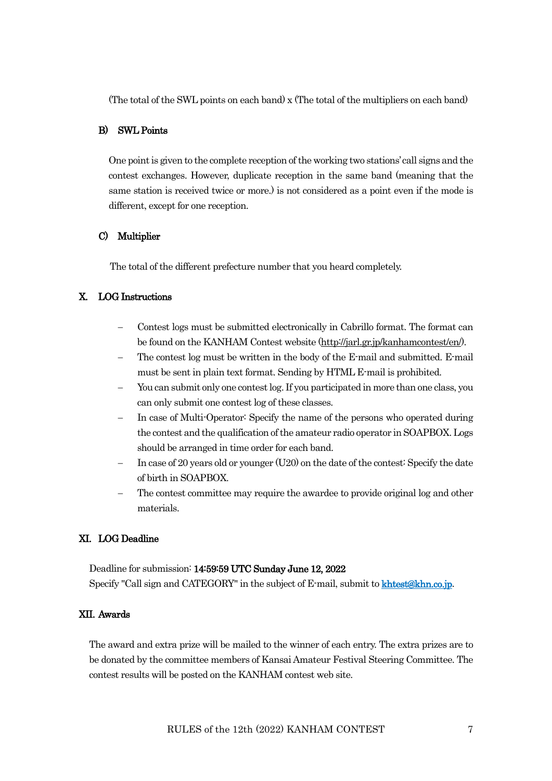(The total of the SWL points on each band) x (The total of the multipliers on each band)

#### B) SWL Points

One point is given to the complete reception of the working two stations' call signs and the contest exchanges. However, duplicate reception in the same band (meaning that the same station is received twice or more.) is not considered as a point even if the mode is different, except for one reception.

#### C) Multiplier

The total of the different prefecture number that you heard completely.

#### X. LOG Instructions

- − Contest logs must be submitted electronically in Cabrillo format. The format can be found on the KANHAM Contest website [\(http://jarl.gr.jp/kanhamcontest/en/\)](http://jarl.gr.jp/kanhamcontest/en/).
- The contest log must be written in the body of the E-mail and submitted. E-mail must be sent in plain text format. Sending by HTML E-mail is prohibited.
- You can submit only one contest log. If you participated in more than one class, you can only submit one contest log of these classes.
- In case of Multi-Operator: Specify the name of the persons who operated during the contest and the qualification of the amateur radio operator in SOAPBOX. Logs should be arranged in time order for each band.
- − In case of 20 years old or younger (U20) on the date of the contest: Specify the date of birth in SOAPBOX.
- The contest committee may require the awardee to provide original log and other materials.

#### XI. LOG Deadline

Deadline for submission: 14:59:59 UTC Sunday June 12, 2022 Specify "Call sign and CATEGORY" in the subject of E-mail, submit to **khtest@khn.co.ip.** 

#### XII. Awards

The award and extra prize will be mailed to the winner of each entry. The extra prizes are to be donated by the committee members of Kansai Amateur Festival Steering Committee. The contest results will be posted on the KANHAM contest web site.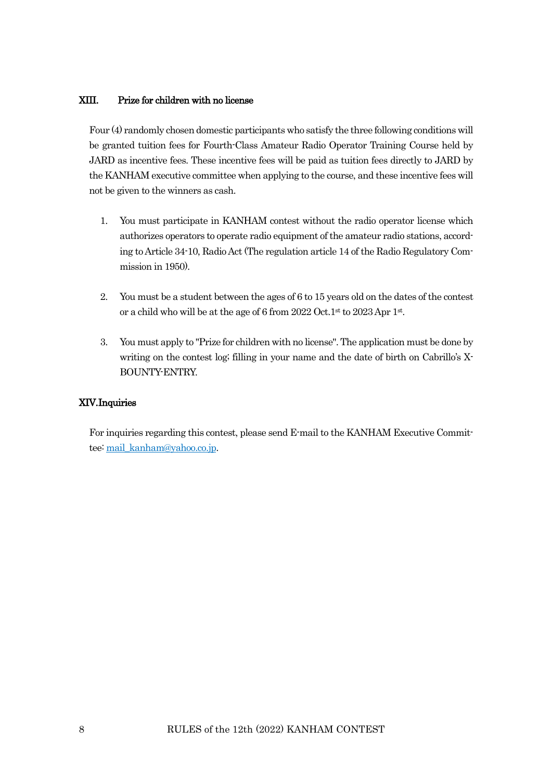## XIII. Prize for children with no license

Four (4) randomly chosen domestic participants who satisfy the three following conditions will be granted tuition fees for Fourth-Class Amateur Radio Operator Training Course held by JARD as incentive fees. These incentive fees will be paid as tuition fees directly to JARD by the KANHAM executive committee when applying to the course, and these incentive fees will not be given to the winners as cash.

- 1. You must participate in KANHAM contest without the radio operator license which authorizes operators to operate radio equipment of the amateur radio stations, according to Article 34-10, Radio Act (The regulation article 14 of the Radio Regulatory Commission in 1950).
- 2. You must be a student between the ages of 6 to 15 years old on the dates of the contest or a child who will be at the age of 6 from 2022 Oct.1st to 2023 Apr 1st.
- 3. You must apply to "Prize for children with no license". The application must be done by writing on the contest log; filling in your name and the date of birth on Cabrillo's X-BOUNTY-ENTRY.

#### XIV.Inquiries

For inquiries regarding this contest, please send E-mail to the KANHAM Executive Commit-tee[: mail\\_kanham@yahoo.co.jp.](mailto:mail_kanham@yahoo.co.jp)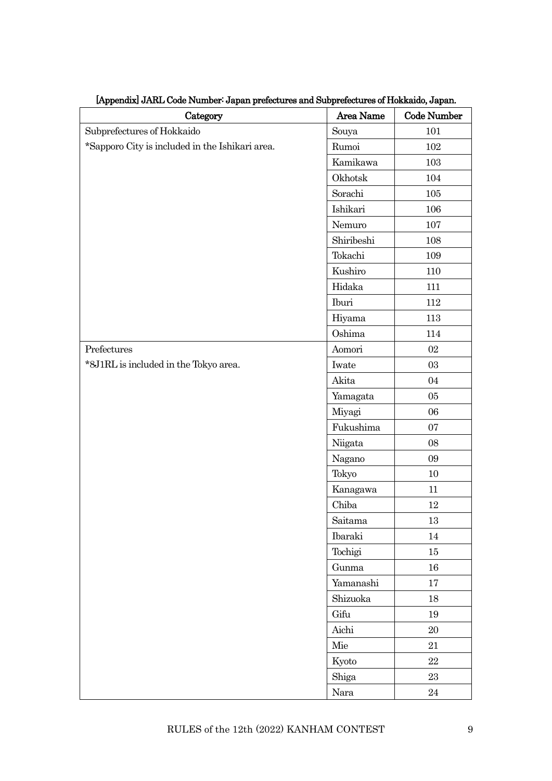| Category                                        | Area Name  | Code Number |
|-------------------------------------------------|------------|-------------|
| Subprefectures of Hokkaido                      | Souya      | $101\,$     |
| *Sapporo City is included in the Ishikari area. | Rumoi      | 102         |
|                                                 | Kamikawa   | 103         |
|                                                 | Okhotsk    | 104         |
|                                                 | Sorachi    | 105         |
|                                                 | Ishikari   | 106         |
|                                                 | Nemuro     | 107         |
|                                                 | Shiribeshi | 108         |
|                                                 | Tokachi    | 109         |
|                                                 | Kushiro    | 110         |
|                                                 | Hidaka     | 111         |
|                                                 | Iburi      | 112         |
|                                                 | Hiyama     | 113         |
|                                                 | Oshima     | 114         |
| Prefectures                                     | Aomori     | 02          |
| *8J1RL is included in the Tokyo area.           | Iwate      | 03          |
|                                                 | Akita      | 04          |
|                                                 | Yamagata   | 05          |
|                                                 | Miyagi     | 06          |
|                                                 | Fukushima  | 07          |
|                                                 | Niigata    | 08          |
|                                                 | Nagano     | 09          |
|                                                 | Tokyo      | 10          |
|                                                 | Kanagawa   | 11          |
|                                                 | Chiba      | 12          |
|                                                 | Saitama    | 13          |
|                                                 | Ibaraki    | $14\,$      |
|                                                 | Tochigi    | $15\,$      |
|                                                 | Gunma      | 16          |
|                                                 | Yamanashi  | 17          |
|                                                 | Shizuoka   | 18          |
|                                                 | Gifu       | 19          |
|                                                 | Aichi      | $20\,$      |
|                                                 | Mie        | 21          |
|                                                 | Kyoto      | 22          |
|                                                 | Shiga      | 23          |
|                                                 | Nara       | $24\,$      |

[Appendix] JARL Code Number: Japan prefectures and Subprefectures of Hokkaido, Japan.